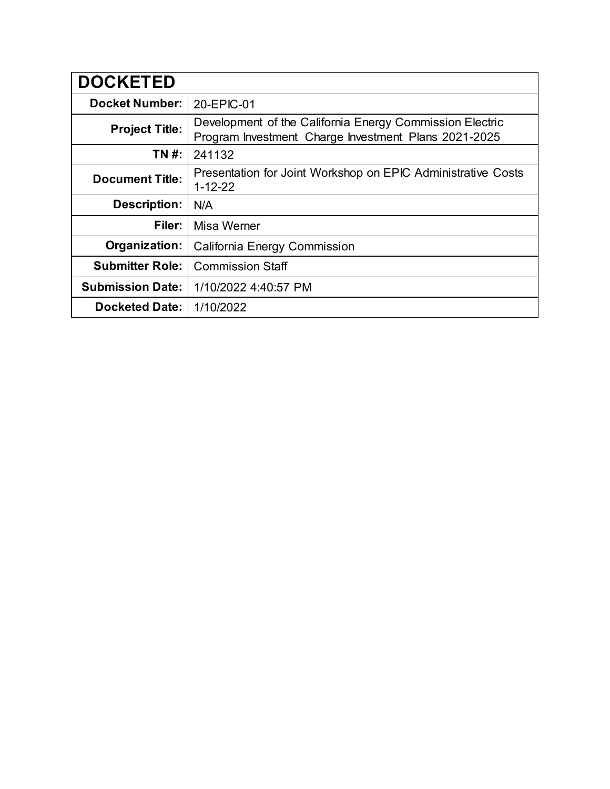| <b>DOCKETED</b>         |                                                                                                                  |
|-------------------------|------------------------------------------------------------------------------------------------------------------|
| <b>Docket Number:</b>   | 20-EPIC-01                                                                                                       |
| <b>Project Title:</b>   | Development of the California Energy Commission Electric<br>Program Investment Charge Investment Plans 2021-2025 |
| TN #:                   | 241132                                                                                                           |
| <b>Document Title:</b>  | Presentation for Joint Workshop on EPIC Administrative Costs<br>$1 - 12 - 22$                                    |
| <b>Description:</b>     | N/A                                                                                                              |
| Filer:                  | Misa Werner                                                                                                      |
| Organization:           | California Energy Commission                                                                                     |
| <b>Submitter Role:</b>  | <b>Commission Staff</b>                                                                                          |
| <b>Submission Date:</b> | 1/10/2022 4:40:57 PM                                                                                             |
| <b>Docketed Date:</b>   | 1/10/2022                                                                                                        |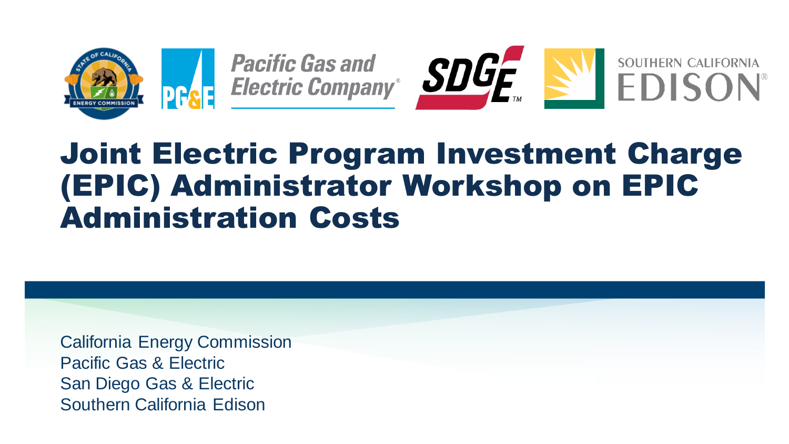





### Joint Electric Program Investment Charge (EPIC) Administrator Workshop on EPIC Administration Costs

California Energy Commission Pacific Gas & Electric San Diego Gas & Electric Southern California Edison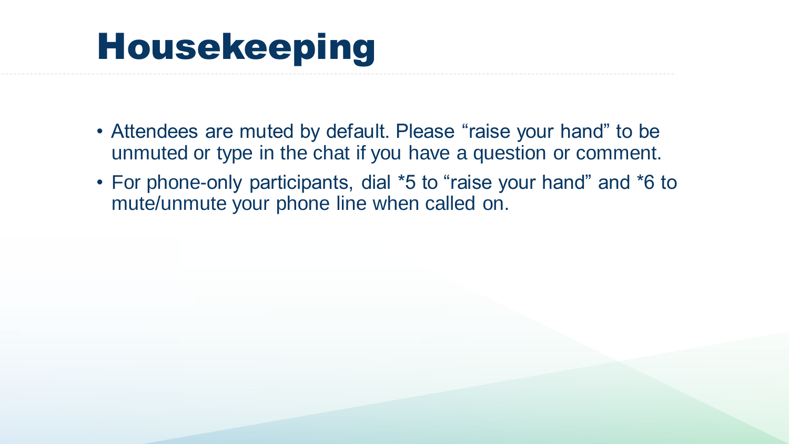## Housekeeping

- Attendees are muted by default. Please "raise your hand" to be unmuted or type in the chat if you have a question or comment.
- For phone-only participants, dial \*5 to "raise your hand" and \*6 to mute/unmute your phone line when called on.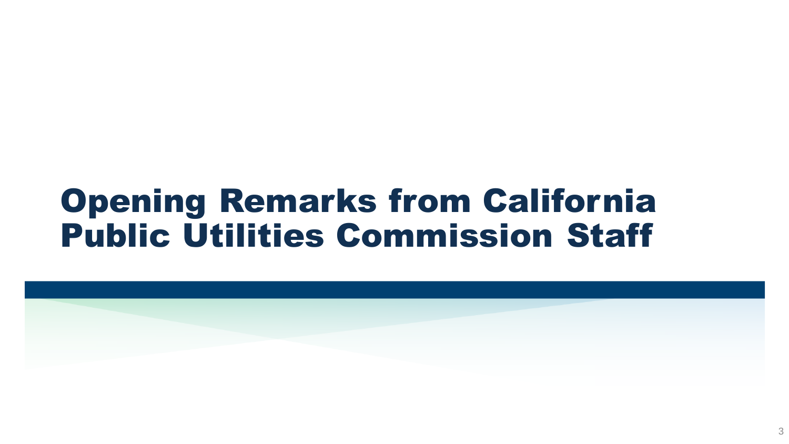### Opening Remarks from California Public Utilities Commission Staff

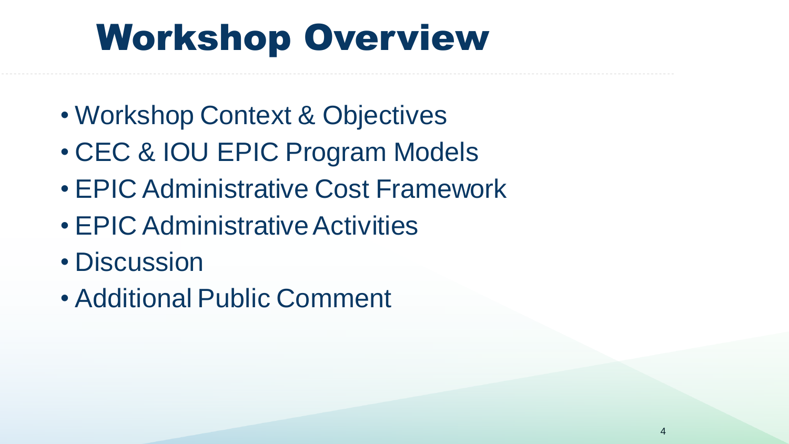## Workshop Overview

- Workshop Context & Objectives
- CEC & IOU EPIC Program Models
- EPIC Administrative Cost Framework
- EPIC Administrative Activities
- Discussion
- Additional Public Comment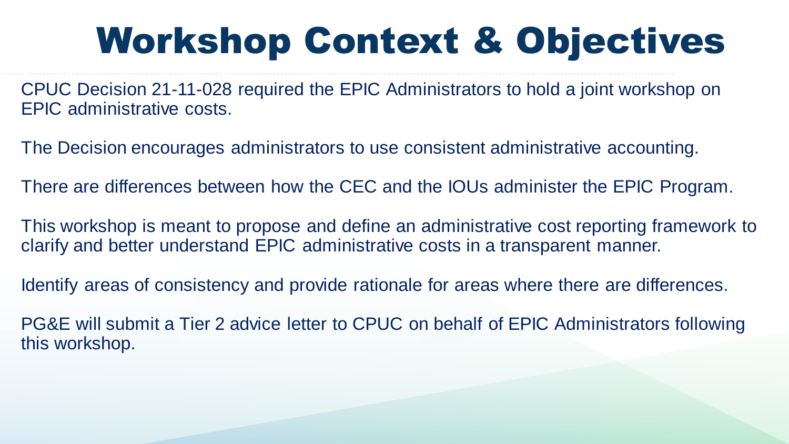# Workshop Context & Objectives

CPUC Decision 21-11-028 required the EPIC Administrators to hold a joint workshop on EPIC administrative costs.

The Decision encourages administrators to use consistent administrative accounting.

There are differences between how the CEC and the IOUs administer the EPIC Program.

This workshop is meant to propose and define an administrative cost reporting framework to clarify and better understand EPIC administrative costs in a transparent manner.

Identify areas of consistency and provide rationale for areas where there are differences.

PG&E will submit a Tier 2 advice letter to CPUC on behalf of EPIC Administrators following this workshop.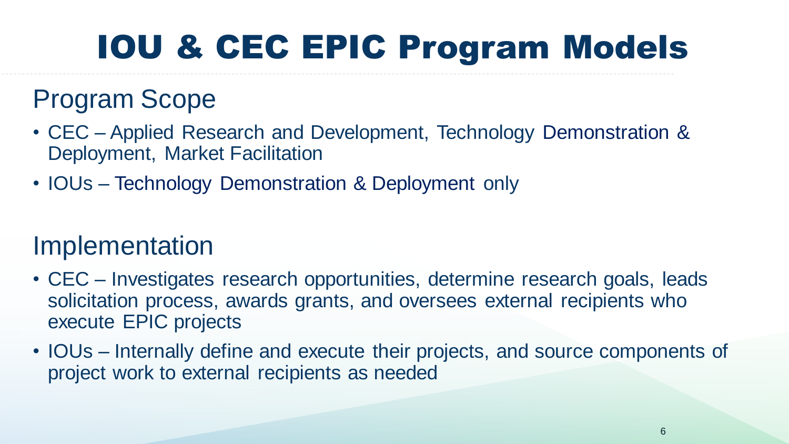## IOU & CEC EPIC Program Models

### Program Scope

- CEC Applied Research and Development, Technology Demonstration & Deployment, Market Facilitation
- IOUs Technology Demonstration & Deployment only

#### Implementation

- CEC Investigates research opportunities, determine research goals, leads solicitation process, awards grants, and oversees external recipients who execute EPIC projects
- IOUs Internally define and execute their projects, and source components of project work to external recipients as needed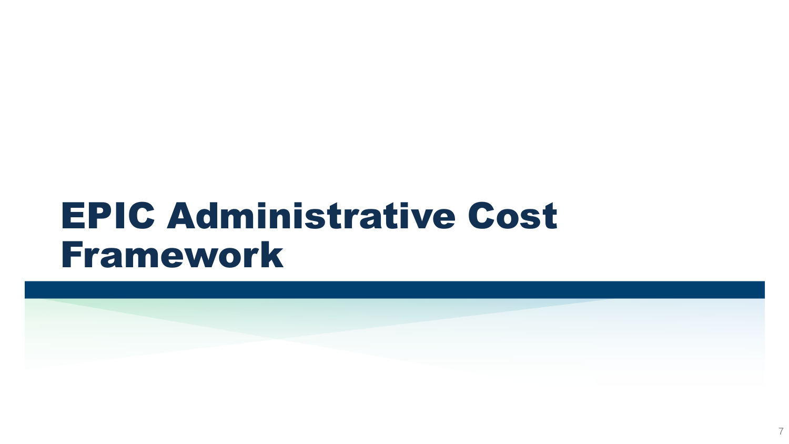## EPIC Administrative Cost Framework

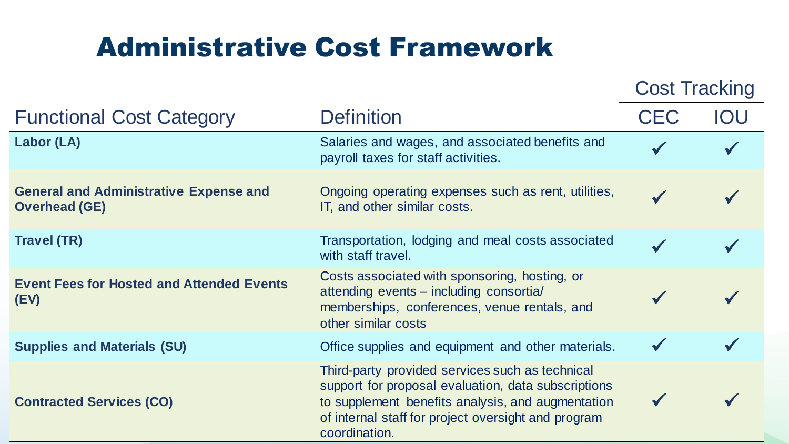### Administrative Cost Framework

|                                                                       |                                                                                                                                                                                                                                     | <b>Cost Tracking</b> |     |
|-----------------------------------------------------------------------|-------------------------------------------------------------------------------------------------------------------------------------------------------------------------------------------------------------------------------------|----------------------|-----|
| <b>Functional Cost Category</b>                                       | <b>Definition</b>                                                                                                                                                                                                                   | <b>CEC</b>           | IOU |
| Labor (LA)                                                            | Salaries and wages, and associated benefits and<br>payroll taxes for staff activities.                                                                                                                                              |                      |     |
| <b>General and Administrative Expense and</b><br><b>Overhead (GE)</b> | Ongoing operating expenses such as rent, utilities,<br>IT, and other similar costs.                                                                                                                                                 | $\checkmark$         |     |
| <b>Travel (TR)</b>                                                    | Transportation, lodging and meal costs associated<br>with staff travel.                                                                                                                                                             |                      |     |
| <b>Event Fees for Hosted and Attended Events</b><br>(EV)              | Costs associated with sponsoring, hosting, or<br>attending events – including consortia/<br>memberships, conferences, venue rentals, and<br>other similar costs                                                                     |                      |     |
| <b>Supplies and Materials (SU)</b>                                    | Office supplies and equipment and other materials.                                                                                                                                                                                  |                      |     |
| <b>Contracted Services (CO)</b>                                       | Third-party provided services such as technical<br>support for proposal evaluation, data subscriptions<br>to supplement benefits analysis, and augmentation<br>of internal staff for project oversight and program<br>coordination. |                      |     |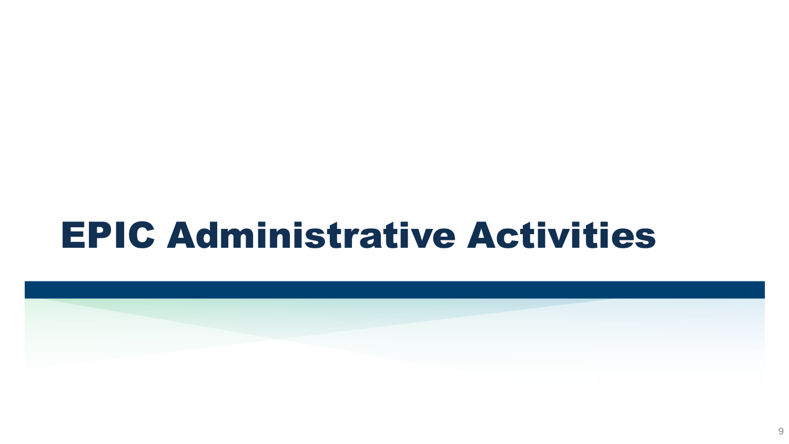## EPIC Administrative Activities

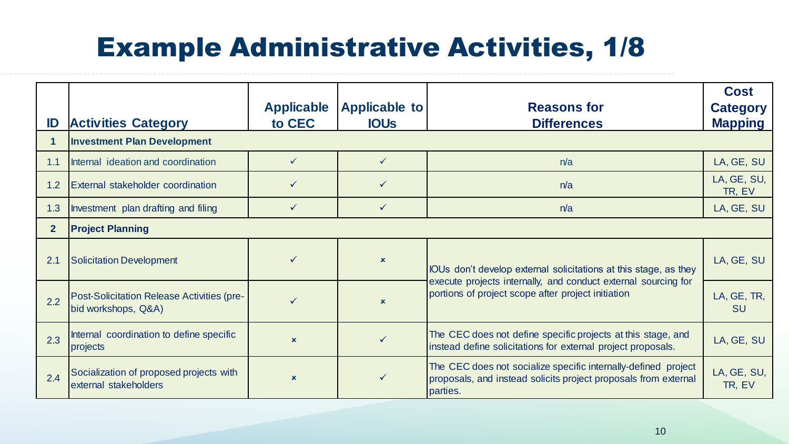### Example Administrative Activities, 1/8

| ID             | <b>Activities Category</b>                                               | <b>Applicable</b><br>to CEC | <b>Applicable to</b><br><b>IOUS</b> | <b>Reasons for</b><br><b>Differences</b>                                                                                                      | <b>Cost</b><br><b>Category</b><br><b>Mapping</b> |
|----------------|--------------------------------------------------------------------------|-----------------------------|-------------------------------------|-----------------------------------------------------------------------------------------------------------------------------------------------|--------------------------------------------------|
|                | <b>Investment Plan Development</b>                                       |                             |                                     |                                                                                                                                               |                                                  |
| 1.1            | Internal ideation and coordination                                       | $\checkmark$                | $\checkmark$                        | n/a                                                                                                                                           | LA, GE, SU                                       |
| 1.2            | <b>External stakeholder coordination</b>                                 | $\checkmark$                | $\checkmark$                        | n/a                                                                                                                                           | LA, GE, SU,<br>TR, EV                            |
| 1.3            | Investment plan drafting and filing                                      | $\checkmark$                | $\sqrt{}$                           | n/a                                                                                                                                           | LA, GE, SU                                       |
| $\overline{2}$ | <b>Project Planning</b>                                                  |                             |                                     |                                                                                                                                               |                                                  |
| 2.1            | Solicitation Development                                                 | $\checkmark$                | $\boldsymbol{\mathsf{x}}$           | IOUs don't develop external solicitations at this stage, as they                                                                              | LA, GE, SU                                       |
| 2.2            | <b>Post-Solicitation Release Activities (pre-</b><br>bid workshops, Q&A) |                             | $\mathbf x$                         | execute projects internally, and conduct external sourcing for<br>portions of project scope after project initiation                          | LA, GE, TR,<br><b>SU</b>                         |
| 2.3            | Internal coordination to define specific<br>projects                     | $\mathbf x$                 | $\checkmark$                        | The CEC does not define specific projects at this stage, and<br>instead define solicitations for external project proposals.                  | LA, GE, SU                                       |
| 2.4            | Socialization of proposed projects with<br>external stakeholders         | $\mathbf x$                 | $\checkmark$                        | The CEC does not socialize specific internally-defined project<br>proposals, and instead solicits project proposals from external<br>parties. | LA, GE, SU,<br>TR, EV                            |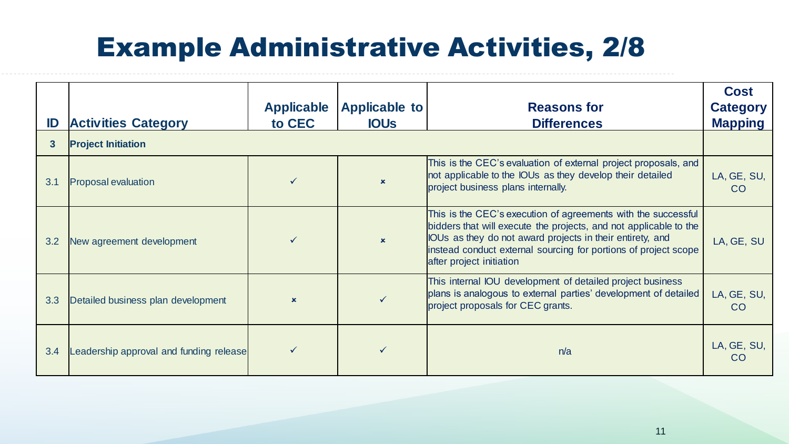### Example Administrative Activities, 2/8

| ID  | <b>Activities Category</b>              | <b>Applicable</b><br>to CEC | <b>Applicable to</b><br><b>IOUS</b> | <b>Reasons for</b><br><b>Differences</b>                                                                                                                                                                                                                                                       | <b>Cost</b><br><b>Category</b><br><b>Mapping</b> |
|-----|-----------------------------------------|-----------------------------|-------------------------------------|------------------------------------------------------------------------------------------------------------------------------------------------------------------------------------------------------------------------------------------------------------------------------------------------|--------------------------------------------------|
| 3   | <b>Project Initiation</b>               |                             |                                     |                                                                                                                                                                                                                                                                                                |                                                  |
| 3.1 | <b>Proposal evaluation</b>              |                             | $\mathbf x$                         | This is the CEC's evaluation of external project proposals, and<br>not applicable to the IOUs as they develop their detailed<br>project business plans internally.                                                                                                                             | LA, GE, SU,<br>CO                                |
| 3.2 | New agreement development               |                             | $\mathbf{x}$                        | This is the CEC's execution of agreements with the successful<br>bidders that will execute the projects, and not applicable to the<br>IOUs as they do not award projects in their entirety, and<br>instead conduct external sourcing for portions of project scope<br>after project initiation | LA, GE, SU                                       |
| 3.3 | Detailed business plan development      | $\mathbf x$                 |                                     | This internal IOU development of detailed project business<br>plans is analogous to external parties' development of detailed<br>project proposals for CEC grants.                                                                                                                             | LA, GE, SU,<br>CO                                |
| 3.4 | Leadership approval and funding release |                             |                                     | n/a                                                                                                                                                                                                                                                                                            | LA, GE, SU,<br><b>CO</b>                         |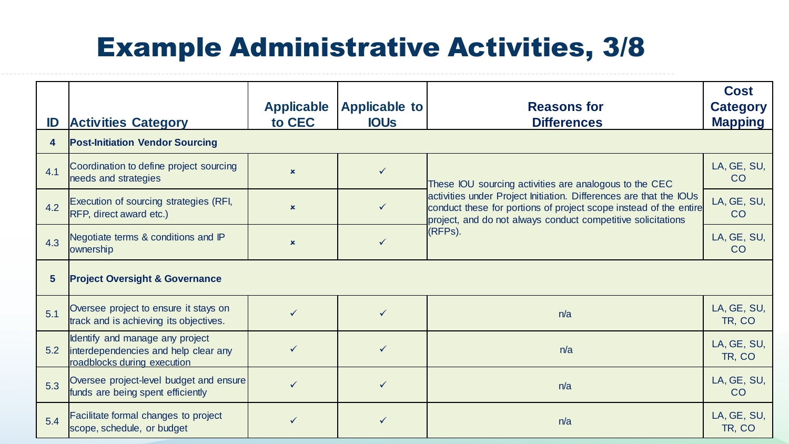### Example Administrative Activities, 3/8

| ID                      | <b>Activities Category</b>                                                                             | <b>Applicable</b><br>to CEC | <b>Applicable to</b><br><b>IOUS</b> | <b>Reasons for</b><br><b>Differences</b>                                                                                                                                                                           | <b>Cost</b><br><b>Category</b><br><b>Mapping</b> |
|-------------------------|--------------------------------------------------------------------------------------------------------|-----------------------------|-------------------------------------|--------------------------------------------------------------------------------------------------------------------------------------------------------------------------------------------------------------------|--------------------------------------------------|
| $\overline{\mathbf{4}}$ | <b>Post-Initiation Vendor Sourcing</b>                                                                 |                             |                                     |                                                                                                                                                                                                                    |                                                  |
| 4.1                     | Coordination to define project sourcing<br>needs and strategies                                        | $\mathbf x$                 | $\checkmark$                        | These IOU sourcing activities are analogous to the CEC                                                                                                                                                             | LA, GE, SU,<br>CO                                |
| 4.2                     | Execution of sourcing strategies (RFI,<br>RFP, direct award etc.)                                      | $\mathbf x$                 | $\checkmark$                        | activities under Project Initiation. Differences are that the IOUs<br>conduct these for portions of project scope instead of the entire<br>project, and do not always conduct competitive solicitations<br>(RFPs). | LA, GE, SU,<br>CO                                |
| 4.3                     | Negotiate terms & conditions and IP<br>ownership                                                       | $\boldsymbol{\mathsf{x}}$   | ✓                                   |                                                                                                                                                                                                                    | LA, GE, SU,<br>CO                                |
| $5\phantom{1}$          | <b>Project Oversight &amp; Governance</b>                                                              |                             |                                     |                                                                                                                                                                                                                    |                                                  |
| 5.1                     | Oversee project to ensure it stays on<br>track and is achieving its objectives.                        | $\checkmark$                | $\checkmark$                        | n/a                                                                                                                                                                                                                | LA, GE, SU,<br>TR, CO                            |
| 5.2                     | Identify and manage any project<br>interdependencies and help clear any<br>roadblocks during execution |                             | ✓                                   | n/a                                                                                                                                                                                                                | LA, GE, SU,<br>TR, CO                            |
| 5.3                     | Oversee project-level budget and ensure<br>funds are being spent efficiently                           | $\checkmark$                | ✓                                   | n/a                                                                                                                                                                                                                | LA, GE, SU,<br>CO                                |
| 5.4                     | Facilitate formal changes to project<br>scope, schedule, or budget                                     |                             |                                     | n/a                                                                                                                                                                                                                | LA, GE, SU,<br>TR, CO                            |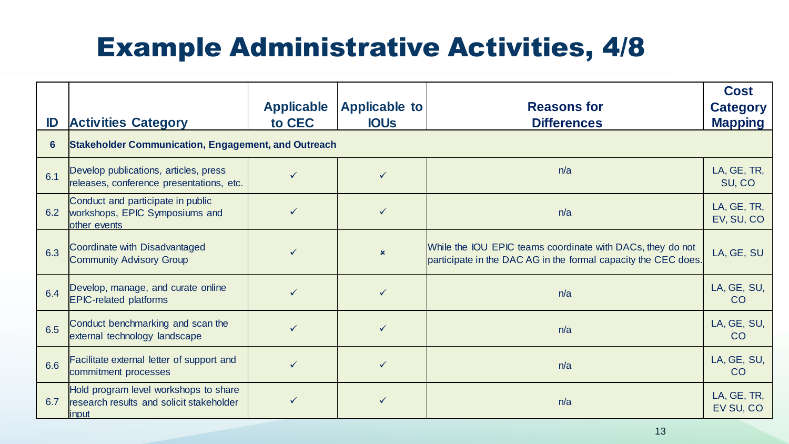### Example Administrative Activities, 4/8

| ID  | <b>Activities Category</b>                                                                  | <b>Applicable</b><br>to CEC | <b>Applicable to</b><br><b>IOUS</b> | <b>Reasons for</b><br><b>Differences</b>                                                                                     | <b>Cost</b><br><b>Category</b><br><b>Mapping</b> |
|-----|---------------------------------------------------------------------------------------------|-----------------------------|-------------------------------------|------------------------------------------------------------------------------------------------------------------------------|--------------------------------------------------|
| 6   | <b>Stakeholder Communication, Engagement, and Outreach</b>                                  |                             |                                     |                                                                                                                              |                                                  |
| 6.1 | Develop publications, articles, press<br>releases, conference presentations, etc.           |                             |                                     | n/a                                                                                                                          | LA, GE, TR,<br>SU, CO                            |
| 6.2 | Conduct and participate in public<br>workshops, EPIC Symposiums and<br>other events         |                             |                                     | n/a                                                                                                                          | LA, GE, TR,<br>EV, SU, CO                        |
| 6.3 | Coordinate with Disadvantaged<br><b>Community Advisory Group</b>                            |                             | $\boldsymbol{\mathsf{x}}$           | While the IOU EPIC teams coordinate with DACs, they do not<br>participate in the DAC AG in the formal capacity the CEC does. | LA, GE, SU                                       |
| 6.4 | Develop, manage, and curate online<br><b>EPIC-related platforms</b>                         |                             |                                     | n/a                                                                                                                          | LA, GE, SU,<br><b>CO</b>                         |
| 6.5 | Conduct benchmarking and scan the<br>external technology landscape                          |                             | ✓                                   | n/a                                                                                                                          | LA, GE, SU,<br>CO                                |
| 6.6 | Facilitate external letter of support and<br>commitment processes                           |                             | ✓                                   | n/a                                                                                                                          | LA, GE, SU,<br>CO                                |
| 6.7 | Hold program level workshops to share<br>research results and solicit stakeholder<br>linput |                             |                                     | n/a                                                                                                                          | LA, GE, TR,<br>EV SU, CO                         |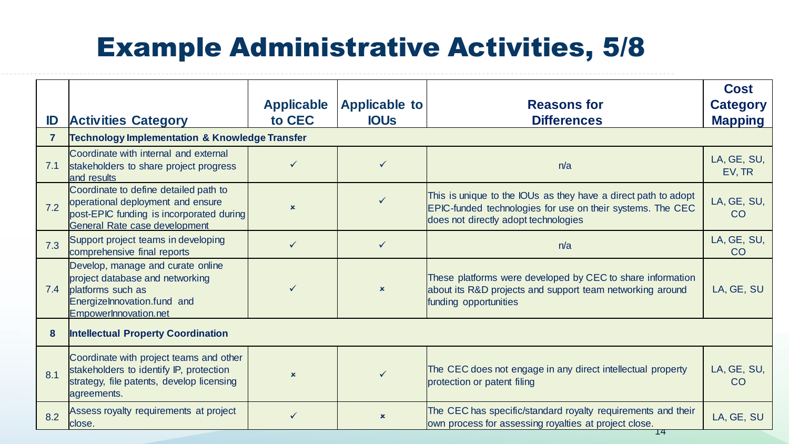### Example Administrative Activities, 5/8

|     |                                                                                                                                                          |                           |                           |                                                                                                                                                                             | <b>Cost</b>           |
|-----|----------------------------------------------------------------------------------------------------------------------------------------------------------|---------------------------|---------------------------|-----------------------------------------------------------------------------------------------------------------------------------------------------------------------------|-----------------------|
|     |                                                                                                                                                          | <b>Applicable</b>         | <b>Applicable to</b>      | <b>Reasons for</b>                                                                                                                                                          | <b>Category</b>       |
| ID  | <b>Activities Category</b>                                                                                                                               | to CEC                    | <b>IOUS</b>               | <b>Differences</b>                                                                                                                                                          | <b>Mapping</b>        |
|     | <b>Technology Implementation &amp; Knowledge Transfer</b>                                                                                                |                           |                           |                                                                                                                                                                             |                       |
| 7.1 | Coordinate with internal and external<br>stakeholders to share project progress<br>and results                                                           | $\checkmark$              | $\checkmark$              | n/a                                                                                                                                                                         | LA, GE, SU,<br>EV, TR |
| 7.2 | Coordinate to define detailed path to<br>operational deployment and ensure<br>post-EPIC funding is incorporated during<br>General Rate case development  | $\mathbf x$               |                           | This is unique to the IOUs as they have a direct path to adopt<br><b>EPIC-funded technologies for use on their systems. The CEC</b><br>does not directly adopt technologies | LA, GE, SU,<br>CO     |
| 7.3 | Support project teams in developing<br>comprehensive final reports                                                                                       | $\checkmark$              | $\checkmark$              | n/a                                                                                                                                                                         | LA, GE, SU,<br>CO     |
| 7.4 | Develop, manage and curate online<br>project database and networking<br><b>platforms</b> such as<br>Energizelnnovation.fund and<br>EmpowerInnovation.net |                           | $\boldsymbol{\mathsf{x}}$ | These platforms were developed by CEC to share information<br>about its R&D projects and support team networking around<br>funding opportunities                            | LA, GE, SU            |
| 8   | <b>Intellectual Property Coordination</b>                                                                                                                |                           |                           |                                                                                                                                                                             |                       |
| 8.1 | Coordinate with project teams and other<br>stakeholders to identify IP, protection<br>strategy, file patents, develop licensing<br>agreements.           | $\boldsymbol{\mathsf{x}}$ | $\checkmark$              | The CEC does not engage in any direct intellectual property<br>protection or patent filing                                                                                  | LA, GE, SU,<br>CO     |
| 8.2 | Assess royalty requirements at project<br>close.                                                                                                         |                           | $\boldsymbol{\mathsf{x}}$ | The CEC has specific/standard royalty requirements and their<br>own process for assessing royalties at project close.                                                       | LA, GE, SU            |

14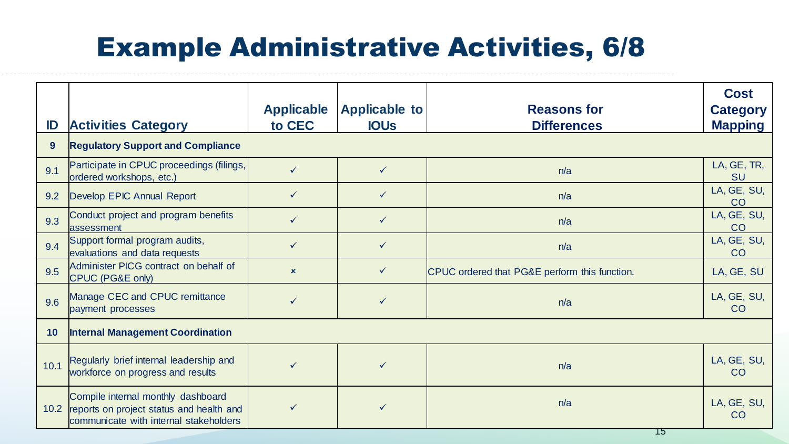### Example Administrative Activities, 6/8

| ID              | <b>Activities Category</b>                                                                                                    | <b>Applicable</b><br>to CEC | Applicable to<br><b>IOUS</b> | <b>Reasons for</b><br><b>Differences</b>      | <b>Cost</b><br><b>Category</b><br><b>Mapping</b> |
|-----------------|-------------------------------------------------------------------------------------------------------------------------------|-----------------------------|------------------------------|-----------------------------------------------|--------------------------------------------------|
| 9 <sup>°</sup>  | <b>Regulatory Support and Compliance</b>                                                                                      |                             |                              |                                               |                                                  |
| 9.1             | Participate in CPUC proceedings (filings,<br>ordered workshops, etc.)                                                         | $\checkmark$                | $\checkmark$                 | n/a                                           | LA, GE, TR,<br><b>SU</b>                         |
| 9.2             | Develop EPIC Annual Report                                                                                                    | $\checkmark$                | $\checkmark$                 | n/a                                           | LA, GE, SU,<br>CO                                |
| 9.3             | Conduct project and program benefits<br>lassessment                                                                           | $\checkmark$                | $\checkmark$                 | n/a                                           | LA, GE, SU,<br>CO                                |
| 9.4             | Support formal program audits,<br>evaluations and data requests                                                               | $\checkmark$                | $\checkmark$                 | n/a                                           | LA, GE, SU,<br>CO                                |
| 9.5             | Administer PICG contract on behalf of<br>CPUC (PG&E only)                                                                     | $\mathbf x$                 | $\checkmark$                 | CPUC ordered that PG&E perform this function. | LA, GE, SU                                       |
| 9.6             | Manage CEC and CPUC remittance<br>payment processes                                                                           | $\checkmark$                | $\checkmark$                 | n/a                                           | LA, GE, SU,<br>CO                                |
| 10 <sup>°</sup> | <b>Internal Management Coordination</b>                                                                                       |                             |                              |                                               |                                                  |
| 10.1            | Regularly brief internal leadership and<br>workforce on progress and results                                                  | $\checkmark$                | ✓                            | n/a                                           | LA, GE, SU,<br>CO                                |
|                 | Compile internal monthly dashboard<br>10.2 reports on project status and health and<br>communicate with internal stakeholders |                             |                              | n/a                                           | LA, GE, SU,<br>CO                                |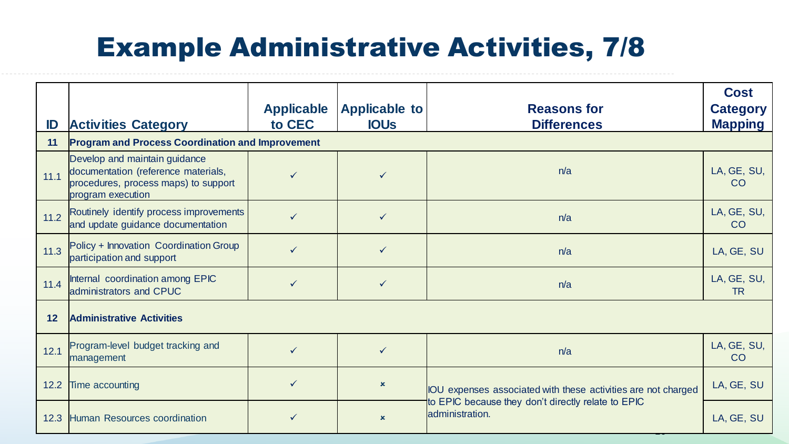### Example Administrative Activities, 7/8

| ID     | <b>Activities Category</b>                                                                                                        | <b>Applicable</b><br>to CEC | <b>Applicable to</b><br><b>IOUS</b> | <b>Reasons for</b><br><b>Differences</b>                              | <b>Cost</b><br><b>Category</b><br><b>Mapping</b> |
|--------|-----------------------------------------------------------------------------------------------------------------------------------|-----------------------------|-------------------------------------|-----------------------------------------------------------------------|--------------------------------------------------|
| 11     | <b>Program and Process Coordination and Improvement</b>                                                                           |                             |                                     |                                                                       |                                                  |
| 11.1   | Develop and maintain guidance<br>documentation (reference materials,<br>procedures, process maps) to support<br>program execution |                             |                                     | n/a                                                                   | LA, GE, SU,<br>CO                                |
| $11.2$ | Routinely identify process improvements<br>and update guidance documentation                                                      | $\checkmark$                | $\checkmark$                        | n/a                                                                   | LA, GE, SU,<br>CO                                |
| 11.3   | Policy + Innovation Coordination Group<br>participation and support                                                               | $\checkmark$                | $\checkmark$                        | n/a                                                                   | LA, GE, SU                                       |
| 11.4   | Internal coordination among EPIC<br>administrators and CPUC                                                                       | ✓                           | $\checkmark$                        | n/a                                                                   | LA, GE, SU,<br><b>TR</b>                         |
| 12     | <b>Administrative Activities</b>                                                                                                  |                             |                                     |                                                                       |                                                  |
| 12.1   | Program-level budget tracking and<br>management                                                                                   | $\checkmark$                | $\checkmark$                        | n/a                                                                   | LA, GE, SU,<br>CO                                |
| 12.2   | Time accounting                                                                                                                   | $\checkmark$                | $\mathbf x$                         | IOU expenses associated with these activities are not charged         | LA, GE, SU                                       |
| 12.3   | Human Resources coordination                                                                                                      |                             | $\mathbf x$                         | to EPIC because they don't directly relate to EPIC<br>administration. | LA, GE, SU                                       |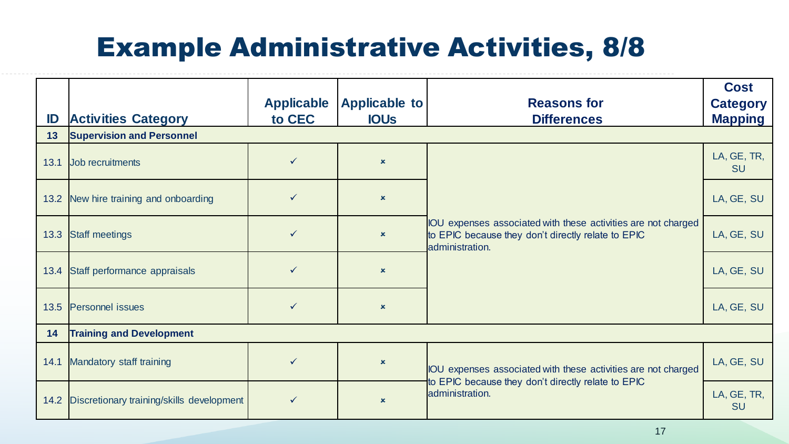### Example Administrative Activities, 8/8

| ID<br>13 | <b>Activities Category</b><br><b>Supervision and Personnel</b> | <b>Applicable</b><br>to CEC | Applicable to<br><b>IOUS</b> | <b>Reasons for</b><br><b>Differences</b>                                                                                               | <b>Cost</b><br><b>Category</b><br><b>Mapping</b> |
|----------|----------------------------------------------------------------|-----------------------------|------------------------------|----------------------------------------------------------------------------------------------------------------------------------------|--------------------------------------------------|
| 13.1     | Job recruitments                                               | $\checkmark$                | $\boldsymbol{\mathsf{x}}$    |                                                                                                                                        | LA, GE, TR,<br><b>SU</b>                         |
|          | 13.2 New hire training and onboarding                          | $\checkmark$                | $\mathbf x$                  |                                                                                                                                        | LA, GE, SU                                       |
|          | 13.3 Staff meetings                                            | $\checkmark$                | $\mathbf x$                  | IOU expenses associated with these activities are not charged<br>to EPIC because they don't directly relate to EPIC<br>administration. | LA, GE, SU                                       |
|          | 13.4 Staff performance appraisals                              | $\checkmark$                | $\mathbf x$                  |                                                                                                                                        | LA, GE, SU                                       |
|          | 13.5 Personnel issues                                          | $\checkmark$                | $\mathbf x$                  |                                                                                                                                        | LA, GE, SU                                       |
| 14       | <b>Training and Development</b>                                |                             |                              |                                                                                                                                        |                                                  |
| 14.1     | Mandatory staff training                                       | $\checkmark$                | $\mathbf x$                  | IOU expenses associated with these activities are not charged<br>to EPIC because they don't directly relate to EPIC<br>administration. | LA, GE, SU                                       |
|          | 14.2 Discretionary training/skills development                 | $\checkmark$                | $\mathbf x$                  |                                                                                                                                        | LA, GE, TR,<br><b>SU</b>                         |